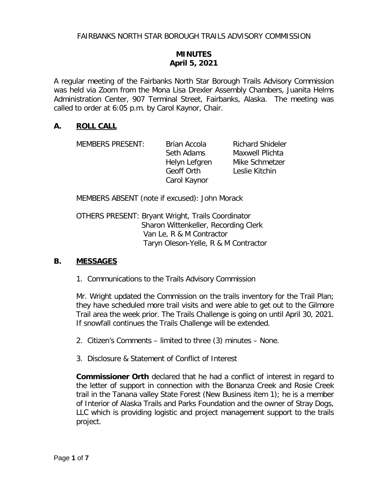## **MINUTES April 5, 2021**

A regular meeting of the Fairbanks North Star Borough Trails Advisory Commission was held via Zoom from the Mona Lisa Drexler Assembly Chambers, Juanita Helms Administration Center, 907 Terminal Street, Fairbanks, Alaska. The meeting was called to order at 6:05 p.m. by Carol Kaynor, Chair.

#### **A. ROLL CALL**

MEMBERS PRESENT: Brian Accola Richard Shideler

Geoff Orth Leslie Kitchin Carol Kaynor

Seth Adams Maxwell Plichta Helyn Lefgren Mike Schmetzer

MEMBERS ABSENT (note if excused): John Morack

OTHERS PRESENT: Bryant Wright, Trails Coordinator Sharon Wittenkeller, Recording Clerk Van Le, R & M Contractor Taryn Oleson-Yelle, R & M Contractor

#### **B. MESSAGES**

1. Communications to the Trails Advisory Commission

Mr. Wright updated the Commission on the trails inventory for the Trail Plan; they have scheduled more trail visits and were able to get out to the Gilmore Trail area the week prior. The Trails Challenge is going on until April 30, 2021. If snowfall continues the Trails Challenge will be extended.

2. Citizen's Comments – limited to three (3) minutes – None.

3. Disclosure & Statement of Conflict of Interest

**Commissioner Orth** declared that he had a conflict of interest in regard to the letter of support in connection with the Bonanza Creek and Rosie Creek trail in the Tanana valley State Forest (New Business item 1); he is a member of Interior of Alaska Trails and Parks Foundation and the owner of Stray Dogs, LLC which is providing logistic and project management support to the trails project.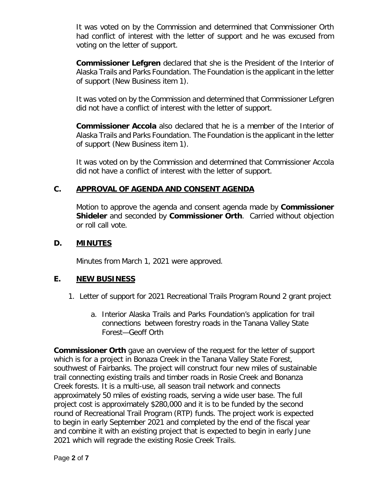It was voted on by the Commission and determined that Commissioner Orth had conflict of interest with the letter of support and he was excused from voting on the letter of support.

**Commissioner Lefgren** declared that she is the President of the Interior of Alaska Trails and Parks Foundation. The Foundation is the applicant in the letter of support (New Business item 1).

It was voted on by the Commission and determined that Commissioner Lefgren did not have a conflict of interest with the letter of support.

**Commissioner Accola** also declared that he is a member of the Interior of Alaska Trails and Parks Foundation. The Foundation is the applicant in the letter of support (New Business item 1).

It was voted on by the Commission and determined that Commissioner Accola did not have a conflict of interest with the letter of support.

## **C. APPROVAL OF AGENDA AND CONSENT AGENDA**

Motion to approve the agenda and consent agenda made by **Commissioner Shideler** and seconded by **Commissioner Orth**. Carried without objection or roll call vote.

### **D. MINUTES**

Minutes from March 1, 2021 were approved.

### **E. NEW BUSINESS**

- 1. Letter of support for 2021 Recreational Trails Program Round 2 grant project
	- a. Interior Alaska Trails and Parks Foundation's application for trail connections between forestry roads in the Tanana Valley State Forest—Geoff Orth

**Commissioner Orth** gave an overview of the request for the letter of support which is for a project in Bonaza Creek in the Tanana Valley State Forest, southwest of Fairbanks. The project will construct four new miles of sustainable trail connecting existing trails and timber roads in Rosie Creek and Bonanza Creek forests. It is a multi-use, all season trail network and connects approximately 50 miles of existing roads, serving a wide user base. The full project cost is approximately \$280,000 and it is to be funded by the second round of Recreational Trail Program (RTP) funds. The project work is expected to begin in early September 2021 and completed by the end of the fiscal year and combine it with an existing project that is expected to begin in early June 2021 which will regrade the existing Rosie Creek Trails.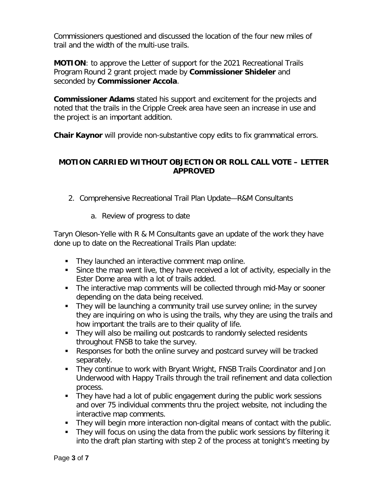Commissioners questioned and discussed the location of the four new miles of trail and the width of the multi-use trails.

**MOTION**: to approve the Letter of support for the 2021 Recreational Trails Program Round 2 grant project made by **Commissioner Shideler** and seconded by **Commissioner Accola**.

**Commissioner Adams** stated his support and excitement for the projects and noted that the trails in the Cripple Creek area have seen an increase in use and the project is an important addition.

**Chair Kaynor** will provide non-substantive copy edits to fix grammatical errors.

## **MOTION CARRIED WITHOUT OBJECTION OR ROLL CALL VOTE – LETTER APPROVED**

- 2. Comprehensive Recreational Trail Plan Update—R&M Consultants
	- a. Review of progress to date

Taryn Oleson-Yelle with R & M Consultants gave an update of the work they have done up to date on the Recreational Trails Plan update:

- **They launched an interactive comment map online.**
- Since the map went live, they have received a lot of activity, especially in the Ester Dome area with a lot of trails added.
- The interactive map comments will be collected through mid-May or sooner depending on the data being received.
- They will be launching a community trail use survey online; in the survey they are inquiring on who is using the trails, why they are using the trails and how important the trails are to their quality of life.
- They will also be mailing out postcards to randomly selected residents throughout FNSB to take the survey.
- Responses for both the online survey and postcard survey will be tracked separately.
- They continue to work with Bryant Wright, FNSB Trails Coordinator and Jon Underwood with Happy Trails through the trail refinement and data collection process.
- They have had a lot of public engagement during the public work sessions and over 75 individual comments thru the project website, not including the interactive map comments.
- They will begin more interaction non-digital means of contact with the public.
- They will focus on using the data from the public work sessions by filtering it into the draft plan starting with step 2 of the process at tonight's meeting by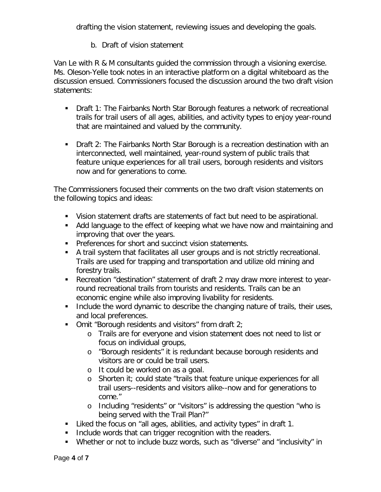drafting the vision statement, reviewing issues and developing the goals.

## b. Draft of vision statement

Van Le with R & M consultants guided the commission through a visioning exercise. Ms. Oleson-Yelle took notes in an interactive platform on a digital whiteboard as the discussion ensued. Commissioners focused the discussion around the two draft vision statements:

- **Draft 1: The Fairbanks North Star Borough features a network of recreational** trails for trail users of all ages, abilities, and activity types to enjoy year-round that are maintained and valued by the community.
- Draft 2: The Fairbanks North Star Borough is a recreation destination with an interconnected, well maintained, year-round system of public trails that feature unique experiences for all trail users, borough residents and visitors now and for generations to come.

The Commissioners focused their comments on the two draft vision statements on the following topics and ideas:

- Vision statement drafts are statements of fact but need to be aspirational.
- Add language to the effect of keeping what we have now and maintaining and improving that over the years.
- **Preferences for short and succinct vision statements.**
- A trail system that facilitates all user groups and is not strictly recreational. Trails are used for trapping and transportation and utilize old mining and forestry trails.
- Recreation "destination" statement of draft 2 may draw more interest to yearround recreational trails from tourists and residents. Trails can be an economic engine while also improving livability for residents.
- **Include the word dynamic to describe the changing nature of trails, their uses,** and local preferences.
- $\blacksquare$  Omit "Borough residents and visitors" from draft 2;
	- o Trails are for everyone and vision statement does not need to list or focus on individual groups,
	- o "Borough residents" it is redundant because borough residents and visitors are or could be trail users.
	- o It could be worked on as a goal.
	- o Shorten it; could state "trails that feature unique experiences for all trail users--residents and visitors alike--now and for generations to come."
	- o Including "residents" or "visitors" is addressing the question "who is being served with the Trail Plan?"
- Liked the focus on "all ages, abilities, and activity types" in draft 1.
- **Include words that can trigger recognition with the readers.**
- Whether or not to include buzz words, such as "diverse" and "inclusivity" in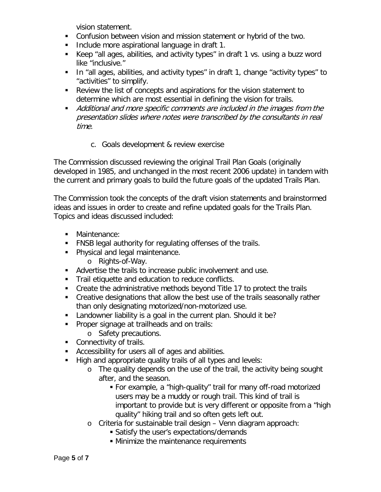vision statement.

- Confusion between vision and mission statement or hybrid of the two.
- **Include more aspirational language in draft 1.**
- Keep "all ages, abilities, and activity types" in draft 1 vs. using a buzz word like "inclusive."
- In "all ages, abilities, and activity types" in draft 1, change "activity types" to "activities" to simplify.
- Review the list of concepts and aspirations for the vision statement to determine which are most essential in defining the vision for trails.
- **Additional and more specific comments are included in the images from the** presentation slides where notes were transcribed by the consultants in real time.
	- c. Goals development & review exercise

The Commission discussed reviewing the original Trail Plan Goals (originally developed in 1985, and unchanged in the most recent 2006 update) in tandem with the current and primary goals to build the future goals of the updated Trails Plan.

The Commission took the concepts of the draft vision statements and brainstormed ideas and issues in order to create and refine updated goals for the Trails Plan. Topics and ideas discussed included:

- **•** Maintenance:
- FNSB legal authority for regulating offenses of the trails.
- **Physical and legal maintenance.** 
	- o Rights-of-Way.
- Advertise the trails to increase public involvement and use.
- **Trail etiquette and education to reduce conflicts.**
- Create the administrative methods beyond Title 17 to protect the trails
- Creative designations that allow the best use of the trails seasonally rather than only designating motorized/non-motorized use.
- **Landowner liability is a goal in the current plan. Should it be?**
- **Proper signage at trailheads and on trails:** 
	- o Safety precautions.
- Connectivity of trails.
- Accessibility for users all of ages and abilities.
- High and appropriate quality trails of all types and levels:
	- o The quality depends on the use of the trail, the activity being sought after, and the season.
		- For example, a "high-quality" trail for many off-road motorized users may be a muddy or rough trail. This kind of trail is important to provide but is very different or opposite from a "high quality" hiking trail and so often gets left out.
	- o Criteria for sustainable trail design Venn diagram approach:
		- Satisfy the user's expectations/demands
		- **Minimize the maintenance requirements**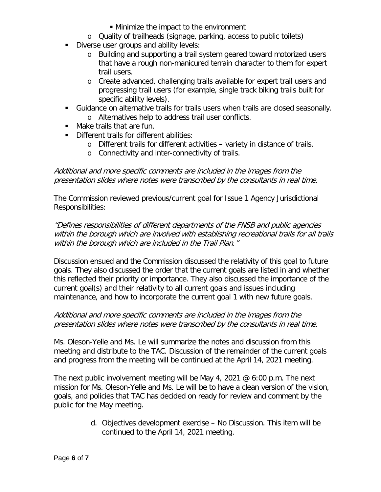- Minimize the impact to the environment
- o Quality of trailheads (signage, parking, access to public toilets)
- Diverse user groups and ability levels:
	- o Building and supporting a trail system geared toward motorized users that have a rough non-manicured terrain character to them for expert trail users.
	- o Create advanced, challenging trails available for expert trail users and progressing trail users (for example, single track biking trails built for specific ability levels).
- Guidance on alternative trails for trails users when trails are closed seasonally.
	- o Alternatives help to address trail user conflicts.
- Make trails that are fun.
- **Different trails for different abilities:** 
	- o Different trails for different activities variety in distance of trails.
	- o Connectivity and inter-connectivity of trails.

Additional and more specific comments are included in the images from the presentation slides where notes were transcribed by the consultants in real time.

The Commission reviewed previous/current goal for Issue 1 Agency Jurisdictional Responsibilities:

"Defines responsibilities of different departments of the FNSB and public agencies within the borough which are involved with establishing recreational trails for all trails within the borough which are included in the Trail Plan."

Discussion ensued and the Commission discussed the relativity of this goal to future goals. They also discussed the order that the current goals are listed in and whether this reflected their priority or importance. They also discussed the importance of the current goal(s) and their relativity to all current goals and issues including maintenance, and how to incorporate the current goal 1 with new future goals.

#### Additional and more specific comments are included in the images from the presentation slides where notes were transcribed by the consultants in real time.

Ms. Oleson-Yelle and Ms. Le will summarize the notes and discussion from this meeting and distribute to the TAC. Discussion of the remainder of the current goals and progress from the meeting will be continued at the April 14, 2021 meeting.

The next public involvement meeting will be May 4, 2021  $\omega$  6:00 p.m. The next mission for Ms. Oleson-Yelle and Ms. Le will be to have a clean version of the vision, goals, and policies that TAC has decided on ready for review and comment by the public for the May meeting.

> d. Objectives development exercise – No Discussion. This item will be continued to the April 14, 2021 meeting.